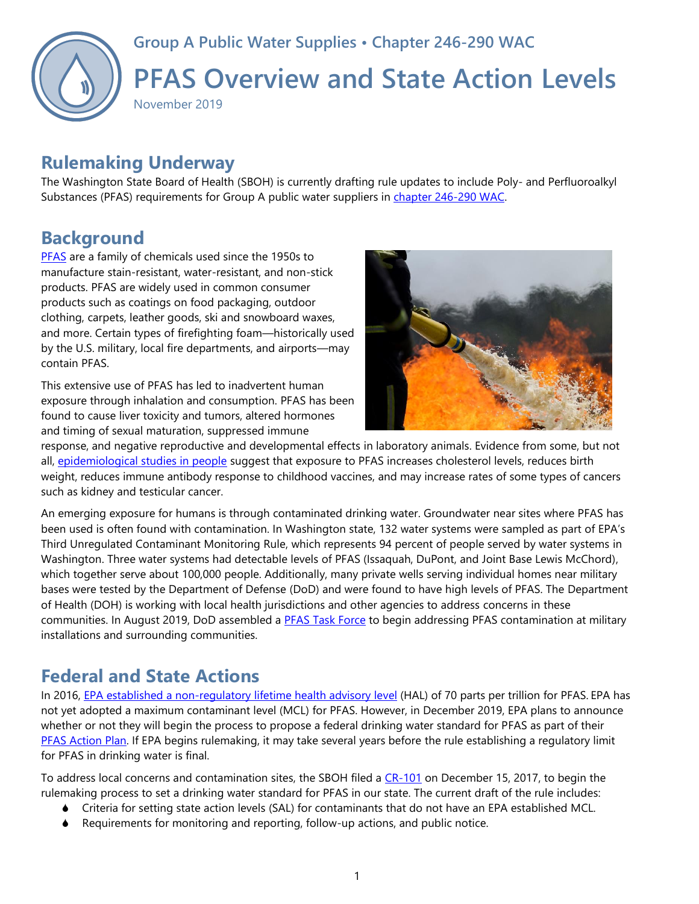#### **Group A Public Water Supplies • Chapter 246-290 WAC**



### **Rulemaking Underway**

The Washington State Board of Health (SBOH) is currently drafting rule updates to include Poly- and Perfluoroalkyl Substances (PFAS) requirements for Group A public water suppliers in [chapter 246-290 WAC.](https://apps.leg.wa.gov/wac/default.aspx?cite=246-290)

### **Background**

[PFAS](https://www.doh.wa.gov/CommunityandEnvironment/Contaminants/PFAS) are a family of chemicals used since the 1950s to manufacture stain-resistant, water-resistant, and non-stick products. PFAS are widely used in common consumer products such as coatings on food packaging, outdoor clothing, carpets, leather goods, ski and snowboard waxes, and more. Certain types of firefighting foam—historically used by the U.S. military, local fire departments, and airports—may contain PFAS.

This extensive use of PFAS has led to inadvertent human exposure through inhalation and consumption. PFAS has been found to cause liver toxicity and tumors, altered hormones and timing of sexual maturation, suppressed immune



response, and negative reproductive and developmental effects in laboratory animals. Evidence from some, but not all, [epidemiological studies in people](file:///C:/Users/JJP1303/AppData/Local/Microsoft/Windows/INetCache/Content.Outlook/1QEHKWTK/epa.gov/pfas/basic-information-pfas) suggest that exposure to PFAS increases cholesterol levels, reduces birth weight, reduces immune antibody response to childhood vaccines, and may increase rates of some types of cancers such as kidney and testicular cancer.

An emerging exposure for humans is through contaminated drinking water. Groundwater near sites where PFAS has been used is often found with contamination. In Washington state, 132 water systems were sampled as part of EPA's Third Unregulated Contaminant Monitoring Rule, which represents 94 percent of people served by water systems in Washington. Three water systems had detectable levels of PFAS (Issaquah, DuPont, and Joint Base Lewis McChord), which together serve about 100,000 people. Additionally, many private wells serving individual homes near military bases were tested by the Department of Defense (DoD) and were found to have high levels of PFAS. The Department of Health (DOH) is working with local health jurisdictions and other agencies to address concerns in these communities. In August 2019, DoD assembled a [PFAS Task Force](https://www.defense.gov/explore/story/Article/1930618/dod-moving-forward-with-task-force-to-address-pfas/) to begin addressing PFAS contamination at military installations and surrounding communities.

# **Federal and State Actions**

In 2016, [EPA established a non-regulatory lifetime health advisory level](https://www.epa.gov/ground-water-and-drinking-water/drinking-water-health-advisories-pfoa-and-pfos) (HAL) of 70 parts per trillion for PFAS. EPA has not yet adopted a maximum contaminant level (MCL) for PFAS. However, in December 2019, EPA plans to announce whether or not they will begin the process to propose a federal drinking water standard for PFAS as part of their [PFAS Action Plan.](https://www.epa.gov/pfas/epas-pfas-action-plan) If EPA begins rulemaking, it may take several years before the rule establishing a regulatory limit for PFAS in drinking water is final.

To address local concerns and contamination sites, the SBOH filed a [CR-101](http://lawfilesext.leg.wa.gov/law/wsr/2018/01/18-01-080.htm) on December 15, 2017, to begin the rulemaking process to set a drinking water standard for PFAS in our state. The current draft of the rule includes:

- Criteria for setting state action levels (SAL) for contaminants that do not have an EPA established MCL.
- Requirements for monitoring and reporting, follow-up actions, and public notice.